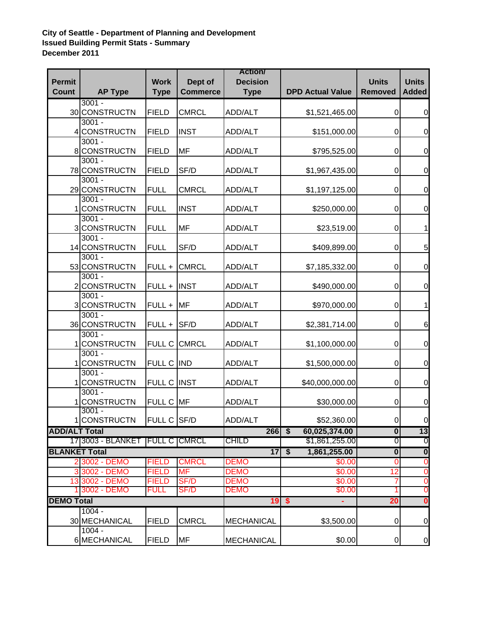## **City of Seattle - Department of Planning and Development Issued Building Permit Stats - Summary December 2011**

| <b>Permit</b>        |                                | <b>Work</b>                  | Dept of                   | <b>Action/</b><br><b>Decision</b> |                                             | <b>Units</b>            | <b>Units</b>                     |
|----------------------|--------------------------------|------------------------------|---------------------------|-----------------------------------|---------------------------------------------|-------------------------|----------------------------------|
| <b>Count</b>         | <b>AP Type</b>                 | <b>Type</b>                  | <b>Commerce</b>           | <b>Type</b>                       | <b>DPD Actual Value</b>                     | <b>Removed</b>          | <b>Added</b>                     |
|                      | $3001 -$                       |                              |                           |                                   |                                             |                         |                                  |
|                      | 30 CONSTRUCTN                  | <b>FIELD</b>                 | <b>CMRCL</b>              | ADD/ALT                           | \$1,521,465.00                              | 0                       | $\mathbf 0$                      |
|                      | $3001 -$                       |                              |                           |                                   |                                             |                         |                                  |
| 4                    | <b>CONSTRUCTN</b>              | <b>FIELD</b>                 | <b>INST</b>               | ADD/ALT                           | \$151,000.00                                | 0                       | $\mathbf 0$                      |
|                      | $3001 -$<br>8 CONSTRUCTN       | <b>FIELD</b>                 | MF                        | ADD/ALT                           | \$795,525.00                                | 0                       | $\mathbf 0$                      |
|                      | $3001 -$                       |                              |                           |                                   |                                             |                         |                                  |
|                      | 78 CONSTRUCTN                  | <b>FIELD</b>                 | SF/D                      | <b>ADD/ALT</b>                    | \$1,967,435.00                              | 0                       | $\mathbf 0$                      |
|                      | $3001 -$                       |                              |                           |                                   |                                             |                         |                                  |
|                      | 29 CONSTRUCTN                  | <b>FULL</b>                  | <b>CMRCL</b>              | <b>ADD/ALT</b>                    | \$1,197,125.00                              | $\mathbf 0$             | $\mathbf 0$                      |
|                      | $3001 -$                       |                              |                           |                                   |                                             |                         |                                  |
| 1                    | <b>CONSTRUCTN</b>              | <b>FULL</b>                  | <b>INST</b>               | <b>ADD/ALT</b>                    | \$250,000.00                                | $\mathbf 0$             | $\pmb{0}$                        |
|                      | $3001 -$<br>3 CONSTRUCTN       | <b>FULL</b>                  | <b>MF</b>                 | <b>ADD/ALT</b>                    | \$23,519.00                                 | 0                       | 1                                |
|                      | $3001 -$                       |                              |                           |                                   |                                             |                         |                                  |
|                      | 14 CONSTRUCTN                  | <b>FULL</b>                  | SF/D                      | <b>ADD/ALT</b>                    | \$409,899.00                                | 0                       | 5                                |
|                      | $3001 -$                       |                              |                           |                                   |                                             |                         |                                  |
|                      | 53 CONSTRUCTN                  | FULL +                       | <b>CMRCL</b>              | <b>ADD/ALT</b>                    | \$7,185,332.00                              | $\mathbf 0$             | $\mathbf 0$                      |
|                      | $3001 -$                       |                              |                           |                                   |                                             |                         |                                  |
|                      | 2 CONSTRUCTN<br>$3001 -$       | FULL +                       | <b>INST</b>               | <b>ADD/ALT</b>                    | \$490,000.00                                | $\mathbf 0$             | $\mathbf 0$                      |
|                      | 3 CONSTRUCTN                   | FULL +                       | <b>MF</b>                 | <b>ADD/ALT</b>                    | \$970,000.00                                | $\pmb{0}$               | 1                                |
|                      | $3001 -$                       |                              |                           |                                   |                                             |                         |                                  |
|                      | 36 CONSTRUCTN                  | FULL +                       | SF/D                      | <b>ADD/ALT</b>                    | \$2,381,714.00                              | $\pmb{0}$               | 6                                |
|                      | $3001 -$                       |                              |                           |                                   |                                             |                         |                                  |
|                      | <b>CONSTRUCTN</b>              | <b>FULL C</b>                | <b>CMRCL</b>              | <b>ADD/ALT</b>                    | \$1,100,000.00                              | 0                       | $\mathbf 0$                      |
|                      | $3001 -$                       |                              |                           |                                   |                                             |                         |                                  |
|                      | <b>CONSTRUCTN</b>              | FULL C IND                   |                           | <b>ADD/ALT</b>                    | \$1,500,000.00                              | $\mathbf 0$             | $\mathbf 0$                      |
|                      | $3001 -$<br><b>CONSTRUCTN</b>  | FULL C INST                  |                           | <b>ADD/ALT</b>                    | \$40,000,000.00                             | 0                       | $\boldsymbol{0}$                 |
|                      | $3001 -$                       |                              |                           |                                   |                                             |                         |                                  |
|                      | <b>CONSTRUCTN</b>              | FULL C MF                    |                           | <b>ADD/ALT</b>                    | \$30,000.00                                 | 0                       | $\boldsymbol{0}$                 |
|                      | $3001 -$                       |                              |                           |                                   |                                             |                         |                                  |
|                      | 1 CONSTRUCTN                   | FULL C SF/D                  |                           | ADD/ALT                           | \$52,360.00                                 | $\overline{0}$          | <sub>U</sub>                     |
| <b>ADD/ALT Total</b> |                                |                              |                           | $266$ \$                          | 60,025,374.00                               | $\overline{\mathbf{0}}$ | 13                               |
|                      | 17 3003 - BLANKET              | <b>IFULL C   CMRCL</b>       |                           | <b>CHILD</b>                      | \$1,861,255.00                              | 0                       | 0                                |
| <b>BLANKET Total</b> |                                |                              |                           | $\overline{17}$                   | $\overline{\boldsymbol{s}}$<br>1,861,255.00 | $\overline{\mathbf{0}}$ | $\overline{\mathbf{0}}$          |
|                      | 2 3002 - DEMO<br>3 3002 - DEMO | <b>FIELD</b><br><b>FIELD</b> | <b>CMRCL</b><br><b>MF</b> | <b>DEMO</b><br><b>DEMO</b>        | \$0.00<br>\$0.00                            | 0<br>12                 | $\overline{0}$<br>$\overline{0}$ |
|                      | 13 3002 - DEMO                 | <b>FIELD</b>                 | SF/D                      | <b>DEMO</b>                       | \$0.00                                      | 7                       | $\overline{0}$                   |
|                      | 1 3002 - DEMO                  | <b>FULL</b>                  | SF/D                      | <b>DEMO</b>                       | \$0.00                                      |                         | 0                                |
| <b>DEMO Total</b>    |                                |                              |                           | $19$ \$<br>Ξ                      | 20                                          | 0                       |                                  |
|                      | $1004 -$                       |                              |                           |                                   |                                             |                         |                                  |
|                      | 30 MECHANICAL                  | <b>FIELD</b>                 | <b>CMRCL</b>              | <b>MECHANICAL</b>                 | \$3,500.00                                  | 0                       | $\pmb{0}$                        |
|                      | $1004 -$                       |                              |                           |                                   |                                             |                         |                                  |
|                      | 6 MECHANICAL                   | <b>FIELD</b>                 | <b>MF</b>                 | <b>MECHANICAL</b>                 | \$0.00                                      | 0                       | $\boldsymbol{0}$                 |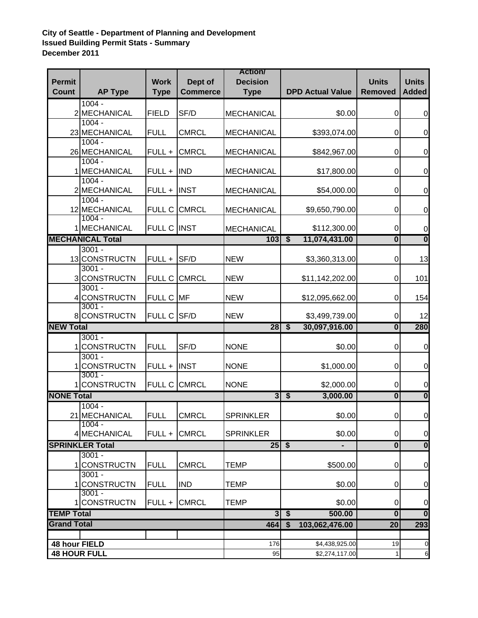## **City of Seattle - Department of Planning and Development Issued Building Permit Stats - Summary December 2011**

| <b>Permit</b>                           |                                    | <b>Work</b>   | Dept of         | <b>Action/</b><br><b>Decision</b> |                                               | <b>Units</b>            | <b>Units</b>            |
|-----------------------------------------|------------------------------------|---------------|-----------------|-----------------------------------|-----------------------------------------------|-------------------------|-------------------------|
| <b>Count</b>                            | <b>AP Type</b>                     | <b>Type</b>   | <b>Commerce</b> | <b>Type</b>                       | <b>DPD Actual Value</b>                       | <b>Removed</b>          | <b>Added</b>            |
|                                         | $1004 -$                           |               |                 |                                   |                                               |                         |                         |
|                                         | 2 MECHANICAL                       | <b>FIELD</b>  | SF/D            | <b>MECHANICAL</b>                 | \$0.00                                        | $\mathbf 0$             | $\pmb{0}$               |
|                                         | $1004 -$                           |               |                 |                                   |                                               |                         |                         |
|                                         | 23 MECHANICAL<br>$1004 -$          | <b>FULL</b>   | <b>CMRCL</b>    | <b>MECHANICAL</b>                 | \$393,074.00                                  | 0                       | $\boldsymbol{0}$        |
|                                         | 26 MECHANICAL                      | FULL +        | <b>CMRCL</b>    | <b>MECHANICAL</b>                 | \$842,967.00                                  | 0                       | $\pmb{0}$               |
|                                         | $1004 -$                           |               |                 |                                   |                                               |                         |                         |
|                                         | 1 MECHANICAL                       | FULL +        | <b>IND</b>      | <b>MECHANICAL</b>                 | \$17,800.00                                   | $\mathbf 0$             | $\boldsymbol{0}$        |
|                                         | $1004 -$                           |               |                 |                                   |                                               |                         |                         |
|                                         | 2 MECHANICAL<br>$1004 -$           | FULL +        | <b>INST</b>     | <b>MECHANICAL</b>                 | \$54,000.00                                   | $\boldsymbol{0}$        | $\boldsymbol{0}$        |
|                                         | 12 MECHANICAL                      |               | FULL C CMRCL    | <b>MECHANICAL</b>                 | \$9,650,790.00                                | $\boldsymbol{0}$        | $\boldsymbol{0}$        |
|                                         | $1004 -$                           |               |                 |                                   |                                               |                         |                         |
|                                         | 1 MECHANICAL                       | FULL C INST   |                 | <b>MECHANICAL</b>                 | \$112,300.00                                  | $\pmb{0}$               | $\pmb{0}$               |
|                                         | <b>MECHANICAL Total</b>            |               |                 | 103                               | $\overline{\$}$<br>11,074,431.00              | $\overline{\mathbf{0}}$ | $\overline{\mathbf{0}}$ |
|                                         | $3001 -$                           |               |                 |                                   |                                               |                         |                         |
|                                         | 13 CONSTRUCTN<br>$3001 -$          | FULL +        | SF/D            | <b>NEW</b>                        | \$3,360,313.00                                | $\mathbf 0$             | 13                      |
|                                         | 3 CONSTRUCTN                       | <b>FULL C</b> | <b>CMRCL</b>    | <b>NEW</b>                        | \$11,142,202.00                               | $\boldsymbol{0}$        | 101                     |
|                                         | $3001 -$                           |               |                 |                                   |                                               |                         |                         |
|                                         | 4 CONSTRUCTN                       | FULL C MF     |                 | <b>NEW</b>                        | \$12,095,662.00                               | $\boldsymbol{0}$        | 154                     |
|                                         | $3001 -$                           |               |                 |                                   |                                               |                         |                         |
| <b>NEW Total</b>                        | 8 CONSTRUCTN                       | FULL C SF/D   |                 | <b>NEW</b>                        | \$3,499,739.00<br>$\overline{\boldsymbol{s}}$ | $\boldsymbol{0}$        | 12                      |
|                                         | $3001 -$                           |               |                 | 28                                | 30,097,916.00                                 | $\overline{\mathbf{0}}$ | 280                     |
|                                         | 1 CONSTRUCTN                       | <b>FULL</b>   | SF/D            | <b>NONE</b>                       | \$0.00                                        | $\boldsymbol{0}$        | $\mathbf 0$             |
|                                         | $3001 -$                           |               |                 |                                   |                                               |                         |                         |
|                                         | <b>CONSTRUCTN</b>                  | FULL + INST   |                 | <b>NONE</b>                       | \$1,000.00                                    | $\pmb{0}$               | $\pmb{0}$               |
|                                         | $3001 -$<br><b>CONSTRUCTN</b>      |               | FULL C CMRCL    | <b>NONE</b>                       | \$2,000.00                                    | $\pmb{0}$               | $\mathbf 0$             |
| <b>NONE Total</b>                       |                                    |               |                 | $\overline{3}$                    | $\overline{\$}$<br>3,000.00                   | $\overline{\mathbf{0}}$ | $\overline{\mathbf{0}}$ |
|                                         | $1004 -$                           |               |                 |                                   |                                               |                         |                         |
|                                         | 21 MECHANICAL                      | <b>FULL</b>   | <b>CMRCL</b>    | <b>SPRINKLER</b>                  | \$0.00                                        | $\overline{0}$          | $\overline{0}$          |
|                                         | $1004 -$                           |               |                 |                                   |                                               |                         |                         |
|                                         | 4 MECHANICAL                       | FULL +        | <b>CMRCL</b>    | <b>SPRINKLER</b>                  | \$0.00                                        | $\pmb{0}$               | $\mathbf 0$             |
|                                         | <b>SPRINKLER Total</b><br>$3001 -$ |               |                 | $25 \overline{\smash{)}5}$        |                                               | $\overline{\mathbf{0}}$ | $\overline{\mathbf{0}}$ |
|                                         | <b>CONSTRUCTN</b>                  | <b>FULL</b>   | <b>CMRCL</b>    | <b>TEMP</b>                       | \$500.00                                      | $\mathbf 0$             | $\pmb{0}$               |
|                                         | $3001 -$                           |               |                 |                                   |                                               |                         |                         |
|                                         | <b>CONSTRUCTN</b>                  | <b>FULL</b>   | <b>IND</b>      | <b>TEMP</b>                       | \$0.00                                        | $\mathbf 0$             | 0                       |
|                                         | $3001 -$                           |               |                 |                                   |                                               |                         |                         |
|                                         | 1 CONSTRUCTN                       | FULL +        | <b>CMRCL</b>    | <b>TEMP</b>                       | \$0.00                                        | $\mathbf 0$             | 0                       |
| <b>TEMP Total</b><br><b>Grand Total</b> |                                    |               |                 | $\overline{3}$                    | $\overline{\$}$<br>500.00                     | $\overline{\mathbf{0}}$ | $\overline{\mathbf{0}}$ |
|                                         |                                    |               |                 | 464                               | \$<br>103,062,476.00                          | 20                      | 293                     |
| 48 hour FIELD                           |                                    |               |                 | 176                               | \$4,438,925.00                                | 19                      | $\mathbf 0$             |
| <b>48 HOUR FULL</b>                     |                                    |               |                 | 95                                | \$2,274,117.00                                | $\mathbf{1}$            | $\,6$                   |